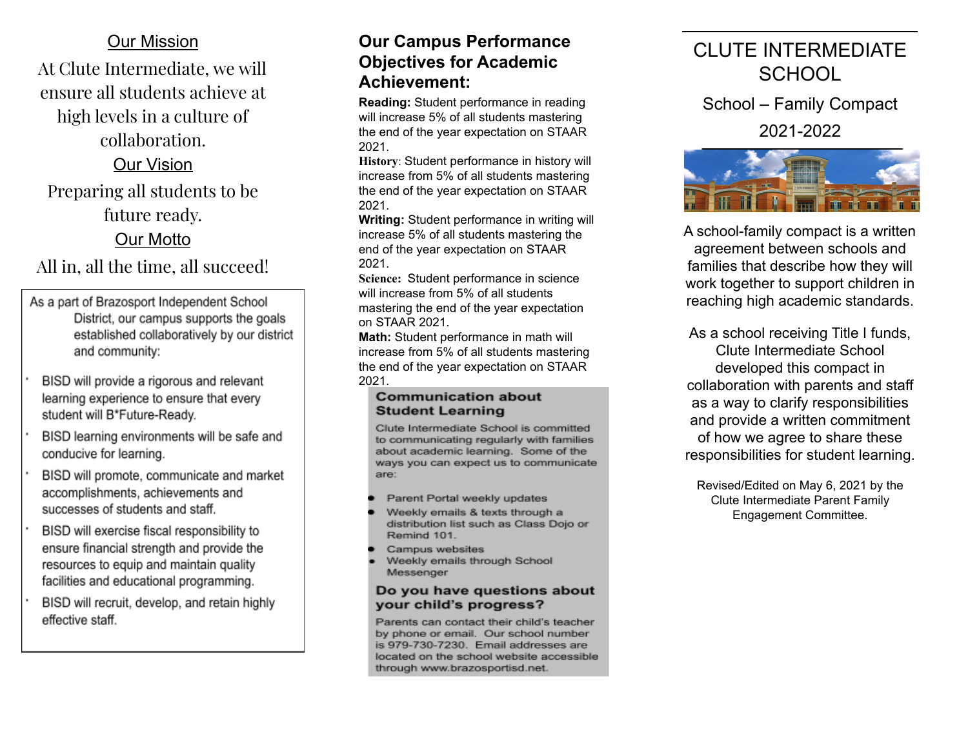### **Our Mission**

At Clute Intermediate, we will ensure all students achieve at high levels in a culture of

### collaboration.

## Our Vision

Preparing all students to be future ready.

## Our Motto

All in, all the time, all succeed

- As a part of Brazosport Independent School District, our campus supports the goals established collaboratively by our district and community:
- BISD will provide a rigorous and relevant learning experience to ensure that every student will B\*Future-Ready.
- BISD learning environments will be safe and conducive for learning.
- BISD will promote, communicate and market accomplishments, achievements and successes of students and staff.
- BISD will exercise fiscal responsibility to ensure financial strength and provide the resources to equip and maintain quality facilities and educational programming.
- BISD will recruit, develop, and retain highly effective staff.

### ur Campus Performance **Objectives for Academic Achievement:**

**Reading:** Student performance in reading will increase 5% of all students mastering the end of the year expectation on STAAR 2 0 2 1. **Objectives for Academic** Cl<br> **Objectives for Academic** Cl<br> **Achievement:**<br>
Reading: Student performance in reading<br>
will increase 5% of all students mastering<br>
2021.<br>
History: Student performance in history will<br>
increase

**OU**<br>
at<br>
at<br> **AC**<br>
Rea<br>
will<br>
the<br>
202<br>
His<br>
inc:<br>
the<br>
202<br>
Wrighter<br>
202<br>
202<br>
202<br>
202<br>
202<br>
202 History: Student performance in history will increase from 5% of all students mastering the end of the year expectation on STAAR 2021.

**Writing:** Student performance in writing will increase 5% of all students mastering the end of the year expectation on STAAR 2021.

**Science:** Student performance in science will increase from 5% of all students mastering the end of the year expectation on STAAR 2021.

**Math:** Student performance in math will increase from 5% of all students mastering the end of the year expectation on STAAR

#### **Communication about Student Learning**

Clute Intermediate School is committed to communicating regularly with families about academic learning. Some of the ways you can expect us to communicate are:

- Parent Portal weekly updates
- Weekly emails & texts through a distribution list such as Class Dojo or Remind 101.
- Campus websites
- Weekly emails through School Messenger

#### Do you have questions about your child's progress?

Parents can contact their child's teacher by phone or email. Our school number is 979-730-7230. Email addresses are located on the school website accessible through www.brazosportisd.net.

# LUTE INTERMEDIATE **SCHOOL**

School - Family Compact

2021-2022



A school-family compact is a written agreement between schools and families that describe how they will work together to support children in reaching high academic standards.

As a school receiving Title I funds, Clute Intermediate School developed this compact in collaboration with parents and staff as a way to clarify responsibilities and provide a written commitment of how we agree to share these responsibilities for student learning.

Revised/Edited on May 6, 2021 by the Clute Intermediate Parent Family Engagement Committee.